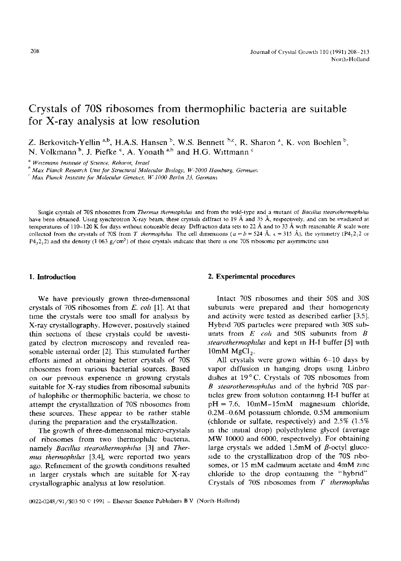# **Crystals of 70S ribosomes from thermophilic bacteria are suitable for X-ray analysis at low resolution**

Z. Berkovitch-Yellin a,b, H.A.S. Hansen  $^b$ , W.S. Bennett  $^b$ ,c, R. Sharon  $^a$ , K. von Boehlen  $^b$ , N. Volkmann  $b$ , J. Piefke  $c$ , A. Yonath  $a,b$  and H.G. Wittmann  $c$ 

*" Welzmann Institute of Science. Rehovot, Israel* 

*b Max Planck Research Umt for Structural Molecular Btology, W-2000 Hamburg, Germam* 

*Max Planck Instttute for Molecular Genetzcs, W-IO00 Berhn 33. Germam* 

Single crystals of 70S ribosomes from *Thermus thermophilus* and from the wild-type and a mutant of *Bacilius stearothermophilus* have been obtained. Using synchrotron X-ray beam, these crystals diffract to 19  $\AA$  and 35  $\AA$ , respectively, and can be irradiated at temperatures of 110-120 K for days without noticeable decay Diffraction data sets to 22 Å and to 33 Å with reasonable R scale were collected from the crystals of 70S from *T* thermophilus The cell dimensions ( $a = b = 524 \text{ Å}$ ,  $c = 315 \text{ Å}$ ), the symmetry (P4<sub>1</sub>2<sub>1</sub>2 or  $P4,2,2$ ) and the density (1.063 g/cm<sup>3</sup>) of these crystals indicate that there is one 70S ribosome per asymmetric unit

We have previously grown three-dimensional crystals of 70S ribosomes from *E. cob* [1]. At that time the crystals were too small for analysis by X-ray crystallography. However, positively stained thin sections of these crystals could be investigated by electron microscopy and revealed reasonable internal order [2], This stimulated further efforts aimed at obtaining better crystals of 70S ribosomes from various bacterial sources. Based on our previous experience in growing crystals suitable for X-ray studies from ribosomal subunits of halophihc or thermophilic bacteria, we chose to attempt the crystallization of 70S ribosomes from these sources. These appear to be rather stable during the preparation and the crystalhzation.

The growth of three-dimensional micro-crystals of ribosomes from two thermophahc bacteria, namely *Bactllus stearothermophtlus* [3] and *Therrnus thermophtlus* [3,4], were reported two years ago. Refinement of the growth conditions resulted in larger crystals which are suitable for X-ray crystallographic analysis at low resolution.

#### **1. Introduction 2. Experimental procedures**

Intact 70S ribosomes and their 50S and 30S subunits were prepared and their homogeneity and activity were tested as described earlier [3,5]. Hybrid 70S particles were prepared with 30S subunits from  $E$  *coli* and 50S subunits from  $B$ *stearothermophtlus* and kept in H-I buffer [5] with 10mM  $MgCl<sub>2</sub>$ .

All crystals were grown within 6-10 days by vapor diffusion in hanging drops using Linbro dishes at 19°C. Crystals of 70S ribosomes from *B stearothermophtlus* and of the hybrid 70S particles grew from solution containing H-I buffer at  $pH = 7.6$ , 10mM-15mM magnesium chloride, 0.2M-0.6M potassium chloride, 0.5M ammonium (chloride or sulfate, respectively) and 2.5% (1.5% in the initial drop) polyethylene glycol (average MW 10000 and 6000, respectively). For obtaining large crystals we added 1.5mM of  $\beta$ -octyl glucoside to the crystallization drop of the 70S ribosomes, or 15 mM cadmum acetate and 4mM zinc chloride to the drop containing the "hybrid" Crystals of 70S ribosomes from *T thermophtlus*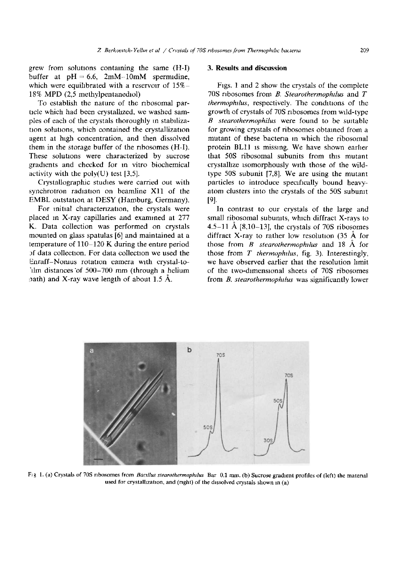grew from solutions containing the same (H-I) buffer at  $pH = 6.6$ ,  $2mM-10mM$  spermidine, which were equilibrated with a reservoir of  $15% -$ 18% MPD (2,5 methylpentanediol)

To establish the nature of the ribosomal particle which had been crystallized, we washed samples of each of the crystals thoroughly in stabilization solutions, which contained the crystallization agent at high concentration, and then dissolved them in the storage buffer of the ribosomes (H-I). These solutions were characterized by sucrose gradients and checked for in vitro biochemical activity with the poly $(U)$  test [3,5].

Crystallographic studies were carried out with synchrotron radiation on beamline Xll of the EMBL outstation at DESY (Hamburg, Germany).

For initial characterization, the crystals were placed m X-ray capillaries and examined at 277 K. Data collection was performed on crystals mounted on glass spatulas [6] and maintained at a temperature of 110-120 K during the entire period )f data collection. For data collection we used the Enraff-Nomus rotation camera with crystal-to-'tlm distances of 500-700 mm (through a helium path) and X-ray wave length of about 1.5  $\AA$ .

#### **3. Results and discussion**

Ftgs. 1 and 2 show the crystals of the complete 70S ribosomes from *B. Stearothermophtlus* and T *thermophilus, respectively. The conditions of the* growth of crystals of 70S ribosomes from wild-type *B* stearothermophilus were found to be suitable for growing crystals of ribosomes obtained from a mutant of these bacteria in which the ribosomal protein BL11 is missing. We have shown earlier that 50S ribosomal subunits from this mutant crystallize isomorphously with those of the wildtype 50S subunit [7,8]. We are using the mutant particles to introduce specifically bound heavyatom clusters into the crystals of the 50S subunlt [9].

In contrast to our crystals of the large and small ribosomal subumts, which diffract X-rays to 4.5-11 Å  $[8,10-13]$ , the crystals of 70S ribosomes diffract X-ray to rather low resolution  $(35 \text{ Å}$  for those from *B stearothermophdus* and 18 A for those from *T thermophdus,* fig. 3). Interestingly, we have observed earlier that the resolution hmit of the two-dimensional sheets of 70S ribosomes from *B. stearothermophtlus* was significantly lower



Fig 1. (a) Crystals of 70S ribosomes from *Bacillus stearothermophilus* Bar 0.1 mm. (b) Sucrose gradient profiles of (left) the material used for crystallization, and (right) of the dissolved crystals shown in  $(a)$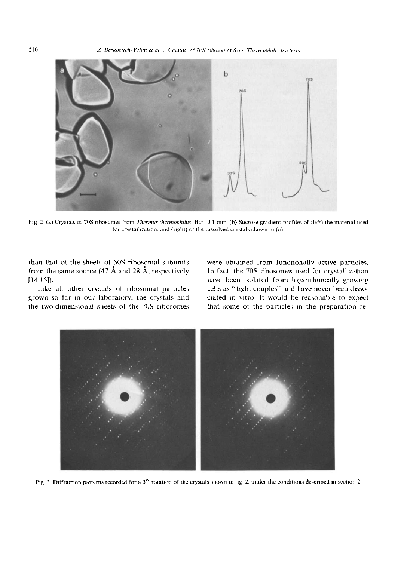210 *Z Berkovitch-Yellin et al / Crystals of 70S ribosomes from Thermophilic bacteria* 



Fig 2 (a) Crystals of 70S ribosomes from *Thermus thermophilus* Bar 01 mm (b) Sucrose gradient profiles of (left) the material used for crystallization, and (right) of the dissolved crystals shown in (a)

than that of the sheets of 50S ribosomal subunlts from the same source (47  $\AA$  and 28  $\AA$ , respectively [14,15]).

Like all other crystals of ribosomal particles grown so far m our laboratory, the crystals and the two-dimensional sheets of the 70S ribosomes were obtained from functionally active particles. In fact, the 70S ribosomes used for crystallization have been isolated from logarithmically growing cells as "tight couples" and have never been dissocrated m vitro It would be reasonable to expect that some of the particles m the preparation re-



Fig 3 Diffraction patterns recorded for a  $3^\circ$  rotation of the crystals shown in fig 2, under the conditions described in section 2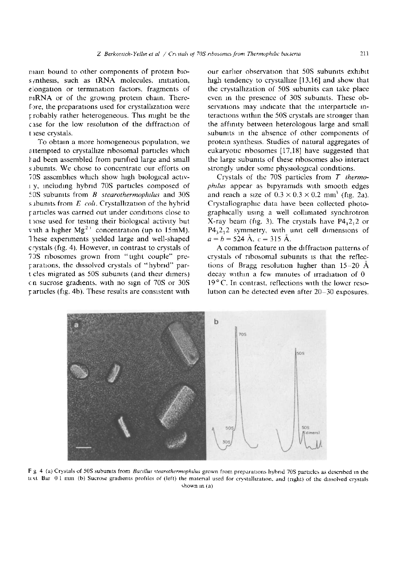main bound to other components of protein blos  $y$ nthesis, such as tRNA molecules, initiation, elongation or termination factors, fragments of mRNA or of the growing protein chain. Therefore, the preparations used for crystallization were l:robably rather heterogeneous. This might be the case for the low resolution of the diffraction of t rese crystals.

To obtain a more homogeneous population, we attempted to crystallize ribosomal particles whtch l~ad been assembled from purified large and small s abunits. We chose to concentrate our efforts on 70S assemblies which show high biological activi y, Including hybrid 70S particles composed of 50S subumts from *B stearothermophllus* and 30S s abunits from *E coli*. Crystallization of the hybrid 1: articles was carried out under conditions close to t lose used for testing their biological activity but v.th a higher Mg<sup>2+</sup> concentration (up to 15mM). These experiments yielded large and well-shaped crystals (fig. 4). However, in contrast to crystals of 73S ribosomes grown from "tight couple" preparations, the dissolved crystals of "hybrid" part cles migrated as 50S subunlts (and their dimers) cn sucrose gradients, with no sign of 70S or 30S  $r$  articles (fig. 4b). These results are consistent with

our earlier observation that 50S subunits exhibit high tendency to crystallize [13,16] and show that the crystalhzation of 50S subunits can take place even in the presence of 30S subunits. These observations may indicate that the interparticle interactions within the 50S crystals are stronger than the affmity between heterologous large and small subunits in the absence of other components of protein synthesis. Studies of natural aggregates of eukaryotic ribosomes  $[17,18]$  have suggested that the large subunlts of these ribosomes also interact strongly under some physiological conditions.

Crystals of the 70S particles from *T thermophtlus* appear as bipyramids with smooth edges and reach a size of  $0.3 \times 0.3 \times 0.2$  mm<sup>3</sup> (fig. 2a). Crystallographic data have been collected photographically using a well collimated synchrotron X-ray beam (fig. 3). The crystals have  $P4<sub>1</sub>2<sub>1</sub>2$  or  $P4<sub>3</sub>2<sub>1</sub>2$  symmetry, with unit cell dimensions of  $a=b=524 \text{ Å}, c=315 \text{ Å}.$ 

A common feature m the diffraction patterns of crystals of ribosomal subunits is that the reflections of Bragg resolution higher than  $15-20$  Å decay within a few minutes of irradiation of 0  $19^{\circ}$  C. In contrast, reflections with the lower resolution can be detected even after  $20-30$  exposures.



F g 4 (a) Crystals of 50S subunits from *Bacillus stearothermophilus* grown from preparations hybrid 70S particles as described in the  $t \in \mathbb{R}$  Bar 01 mm (b) Sucrose gradients profiles of (left) the material used for crystallization, and (right) of the dissolved crystals shown m (a)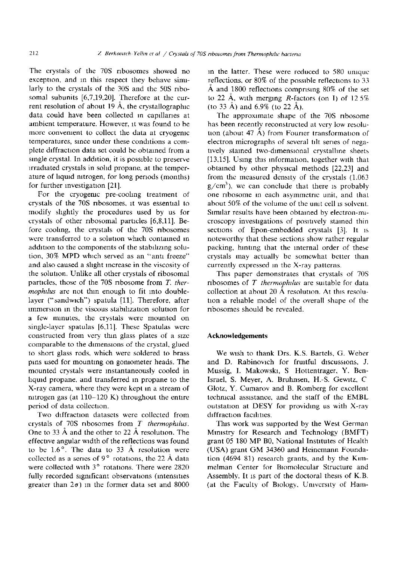The crystals of the 70S ribosomes showed no exception, and in this respect they behave similarly to the crystals of the 30S and the 50S ribosomal subunits [6,7,19,20]. Therefore at the current resolution of about 19  $\AA$ , the crystallographic data could have been collected in capillaries at ambient temperature. However, it was found to be more convement to collect the data at cryogemc temperatures, since under these conditions a complete diffraction data set could be obtained from a single crystal. In addition, it is possible to preserve irradiated crystals in solid propane, at the temperature of liquid nitrogen, for long periods (months) for further investigation [21].

For the cryogenic pre-cooling treatment of crystals of the 70S ribosomes, it was essential to modify shghtly the procedures used by us for crystals of other ribosomal particles [6,8,11]. Before coohng, the crystals of the 70S ribosomes were transferred to a solution which contained in addition to the components of the stabilizing solution, 30% MPD which served as an "anti freeze" and also caused a shght increase in the viscosity of the solution. Unlike all other crystals of ribosomal particles, those of the 70S ribosome from T. *thermophtlus* are not thin enough to fit into doublelayer ("sandwich") spatula [11]. Therefore, after immersion in the viscous stabilization solution for a few minutes, the crystals were mounted on single-layer spatulas [6,11]. These Spatulas were constructed from very thin glass plates of a size comparable to the dimensions of the crystal, glued to short glass rods, which were soldered to brass pins used for mounting on goniometer heads. The mounted crystals were instantaneously cooled in liquid propane, and transferred in propane to the X-ray camera, where they were kept m a stream of nitrogen gas (at  $110-120$  K) throughout the entire period of data collection.

Two diffraction datasets were collected from crystals of 70S ribosomes from *T thermophllus.*  One to 33  $\AA$  and the other to 22  $\AA$  resolution. The effective angular width of the reflections was found to be  $1.6^{\circ}$ . The data to 33 Å resolution were collected as a series of 9 $\degree$  rotations, the 22 Å data were collected with  $3^\circ$  rotations. There were 2820 fully recorded significant observations (intensities greater than  $2\sigma$ ) in the former data set and 8000 in the latter. These were reduced to 580 unique reflections, or 80% of the possible reflections to 33  $\AA$  and 1800 reflections comprising 80% of the set to 22 Å, with merging R-factors (on I) of  $12.5\%$ (to 33 Å) and  $6.9\%$  (to 22 Å).

The approximate shape of the 70S ribosome has been recently reconstructed at very low resolution (about 47  $\AA$ ) from Fourier transformation of electron micrographs of several tilt series of negatively stained two-dimensional crystalline sheets [13,15]. Using this information, together with that obtained by other physical methods [22,23] and from the measured density of the crystals (1.063  $g/cm<sup>3</sup>$ ), we can conclude that there is probably one ribosome In each asymmetric unit, and that about 50% of the volume of the umt cell is solvent. Similar results have been obtained by electron-microscopy investigations of positively stained thin sections of Epon-embedded crystals [3]. It is noteworthy that these sections show rather regular packing, hinting that the internal order of these crystals may actually be somewhat better than currently expressed in the X-ray patterns.

This paper demonstrates that crystals of 70S ribosomes of *T thermophtlus* are suitable for data collection at about 20  $\AA$  resolution. At this resolution a reliable model of the overall shape of the ribosomes should be revealed.

### **Acknowledgements**

We wish to thank Drs. K.S. Bartels, G. Weber and D. Rabinovich for fruitful discussions, J. Mussig, I. Makowska, S Hottentrager, Y. Ben-Israel, S. Meyer, A. Bruhnsen, H.-S. Gewltz, C Glotz, Y. Cumarov and B. Romberg for excellent technical assistance, and the staff of the EMBL outstation at DESY for providing us with X-ray diffraction facilities.

This work was supported by the West German Ministry for Research and Technology (BMFT) grant 05 180 MP B0, National Institutes of Health (USA) grant GM 34360 and Heinemann Foundation (4694 81) research grants, and by the Kimmelman Center for Biomolecular Structure and Assembly. It is part of the doctoral thesis of K.B. (at the Faculty of Biology, University of Ham